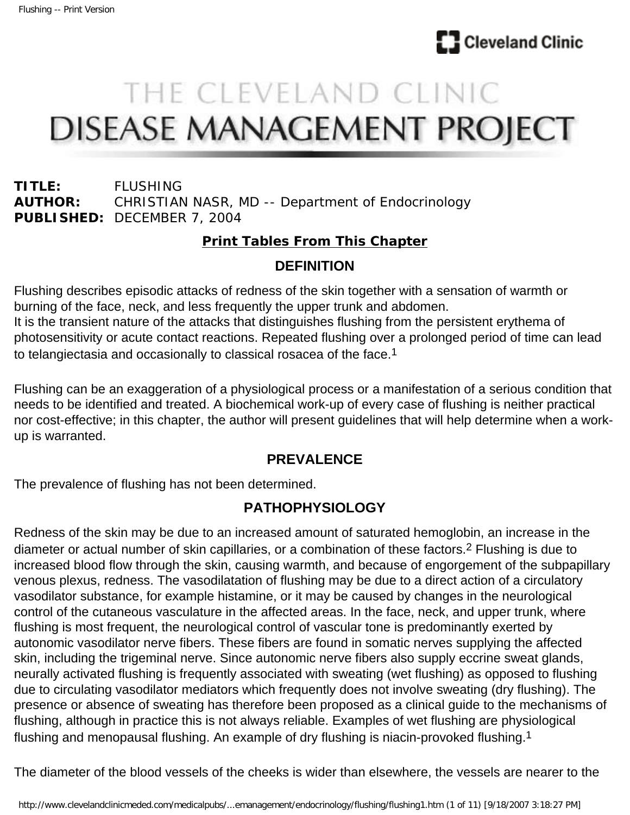

# THE CLEVELAND CLINIC **DISEASE MANAGEMENT PROJECT**

**TITLE:** FLUSHING **AUTHOR:** CHRISTIAN NASR, MD -- Department of Endocrinology **PUBLISHED:** DECEMBER 7, 2004

#### **[Print Tables From This Chapter](http://www.clevelandclinicmeded.com/medicalpubs/diseasemanagement/endocrinology/flushing/flushtables.htm)**

#### **DEFINITION**

Flushing describes episodic attacks of redness of the skin together with a sensation of warmth or burning of the face, neck, and less frequently the upper trunk and abdomen. It is the transient nature of the attacks that distinguishes flushing from the persistent erythema of photosensitivity or acute contact reactions. Repeated flushing over a prolonged period of time can lead to telangiectasia and occasionally to classical rosacea of the face.1

Flushing can be an exaggeration of a physiological process or a manifestation of a serious condition that needs to be identified and treated. A biochemical work-up of every case of flushing is neither practical nor cost-effective; in this chapter, the author will present guidelines that will help determine when a workup is warranted.

## **PREVALENCE**

The prevalence of flushing has not been determined.

## **PATHOPHYSIOLOGY**

Redness of the skin may be due to an increased amount of saturated hemoglobin, an increase in the diameter or actual number of skin capillaries, or a combination of these factors.2 Flushing is due to increased blood flow through the skin, causing warmth, and because of engorgement of the subpapillary venous plexus, redness. The vasodilatation of flushing may be due to a direct action of a circulatory vasodilator substance, for example histamine, or it may be caused by changes in the neurological control of the cutaneous vasculature in the affected areas. In the face, neck, and upper trunk, where flushing is most frequent, the neurological control of vascular tone is predominantly exerted by autonomic vasodilator nerve fibers. These fibers are found in somatic nerves supplying the affected skin, including the trigeminal nerve. Since autonomic nerve fibers also supply eccrine sweat glands, neurally activated flushing is frequently associated with sweating (wet flushing) as opposed to flushing due to circulating vasodilator mediators which frequently does not involve sweating (dry flushing). The presence or absence of sweating has therefore been proposed as a clinical guide to the mechanisms of flushing, although in practice this is not always reliable. Examples of wet flushing are physiological flushing and menopausal flushing. An example of dry flushing is niacin-provoked flushing.1

The diameter of the blood vessels of the cheeks is wider than elsewhere, the vessels are nearer to the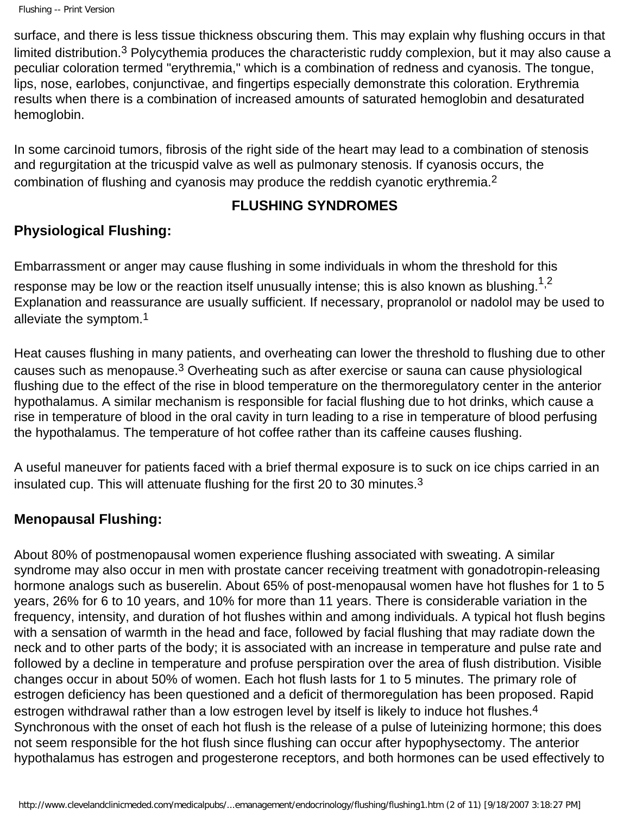surface, and there is less tissue thickness obscuring them. This may explain why flushing occurs in that limited distribution.<sup>3</sup> Polycythemia produces the characteristic ruddy complexion, but it may also cause a peculiar coloration termed "erythremia," which is a combination of redness and cyanosis. The tongue, lips, nose, earlobes, conjunctivae, and fingertips especially demonstrate this coloration. Erythremia results when there is a combination of increased amounts of saturated hemoglobin and desaturated hemoglobin.

In some carcinoid tumors, fibrosis of the right side of the heart may lead to a combination of stenosis and regurgitation at the tricuspid valve as well as pulmonary stenosis. If cyanosis occurs, the combination of flushing and cyanosis may produce the reddish cyanotic erythremia.2

#### **FLUSHING SYNDROMES**

# **Physiological Flushing:**

Embarrassment or anger may cause flushing in some individuals in whom the threshold for this response may be low or the reaction itself unusually intense; this is also known as blushing.<sup>1,2</sup> Explanation and reassurance are usually sufficient. If necessary, propranolol or nadolol may be used to alleviate the symptom.1

Heat causes flushing in many patients, and overheating can lower the threshold to flushing due to other causes such as menopause.3 Overheating such as after exercise or sauna can cause physiological flushing due to the effect of the rise in blood temperature on the thermoregulatory center in the anterior hypothalamus. A similar mechanism is responsible for facial flushing due to hot drinks, which cause a rise in temperature of blood in the oral cavity in turn leading to a rise in temperature of blood perfusing the hypothalamus. The temperature of hot coffee rather than its caffeine causes flushing.

A useful maneuver for patients faced with a brief thermal exposure is to suck on ice chips carried in an insulated cup. This will attenuate flushing for the first 20 to 30 minutes.<sup>3</sup>

## **Menopausal Flushing:**

About 80% of postmenopausal women experience flushing associated with sweating. A similar syndrome may also occur in men with prostate cancer receiving treatment with gonadotropin-releasing hormone analogs such as buserelin. About 65% of post-menopausal women have hot flushes for 1 to 5 years, 26% for 6 to 10 years, and 10% for more than 11 years. There is considerable variation in the frequency, intensity, and duration of hot flushes within and among individuals. A typical hot flush begins with a sensation of warmth in the head and face, followed by facial flushing that may radiate down the neck and to other parts of the body; it is associated with an increase in temperature and pulse rate and followed by a decline in temperature and profuse perspiration over the area of flush distribution. Visible changes occur in about 50% of women. Each hot flush lasts for 1 to 5 minutes. The primary role of estrogen deficiency has been questioned and a deficit of thermoregulation has been proposed. Rapid estrogen withdrawal rather than a low estrogen level by itself is likely to induce hot flushes.<sup>4</sup> Synchronous with the onset of each hot flush is the release of a pulse of luteinizing hormone; this does not seem responsible for the hot flush since flushing can occur after hypophysectomy. The anterior hypothalamus has estrogen and progesterone receptors, and both hormones can be used effectively to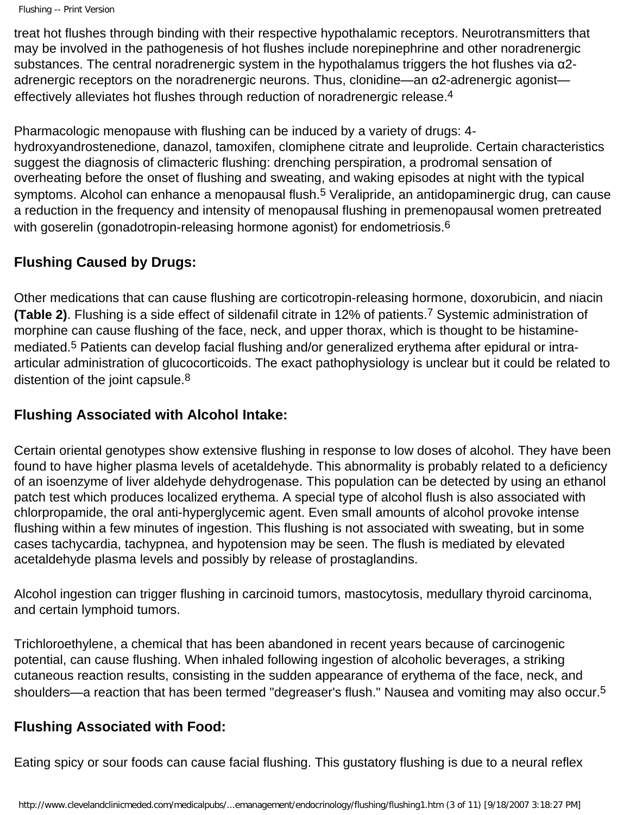```
Flushing -- Print Version
```
treat hot flushes through binding with their respective hypothalamic receptors. Neurotransmitters that may be involved in the pathogenesis of hot flushes include norepinephrine and other noradrenergic substances. The central noradrenergic system in the hypothalamus triggers the hot flushes via α2 adrenergic receptors on the noradrenergic neurons. Thus, clonidine—an α2-adrenergic agonist effectively alleviates hot flushes through reduction of noradrenergic release.4

Pharmacologic menopause with flushing can be induced by a variety of drugs: 4 hydroxyandrostenedione, danazol, tamoxifen, clomiphene citrate and leuprolide. Certain characteristics suggest the diagnosis of climacteric flushing: drenching perspiration, a prodromal sensation of overheating before the onset of flushing and sweating, and waking episodes at night with the typical symptoms. Alcohol can enhance a menopausal flush.<sup>5</sup> Veralipride, an antidopaminergic drug, can cause a reduction in the frequency and intensity of menopausal flushing in premenopausal women pretreated with goserelin (gonadotropin-releasing hormone agonist) for endometriosis.<sup>6</sup>

## **Flushing Caused by Drugs:**

Other medications that can cause flushing are corticotropin-releasing hormone, doxorubicin, and niacin **(Table 2)**. Flushing is a side effect of sildenafil citrate in 12% of patients.7 Systemic administration of morphine can cause flushing of the face, neck, and upper thorax, which is thought to be histaminemediated.5 Patients can develop facial flushing and/or generalized erythema after epidural or intraarticular administration of glucocorticoids. The exact pathophysiology is unclear but it could be related to distention of the joint capsule.<sup>8</sup>

## **Flushing Associated with Alcohol Intake:**

Certain oriental genotypes show extensive flushing in response to low doses of alcohol. They have been found to have higher plasma levels of acetaldehyde. This abnormality is probably related to a deficiency of an isoenzyme of liver aldehyde dehydrogenase. This population can be detected by using an ethanol patch test which produces localized erythema. A special type of alcohol flush is also associated with chlorpropamide, the oral anti-hyperglycemic agent. Even small amounts of alcohol provoke intense flushing within a few minutes of ingestion. This flushing is not associated with sweating, but in some cases tachycardia, tachypnea, and hypotension may be seen. The flush is mediated by elevated acetaldehyde plasma levels and possibly by release of prostaglandins.

Alcohol ingestion can trigger flushing in carcinoid tumors, mastocytosis, medullary thyroid carcinoma, and certain lymphoid tumors.

Trichloroethylene, a chemical that has been abandoned in recent years because of carcinogenic potential, can cause flushing. When inhaled following ingestion of alcoholic beverages, a striking cutaneous reaction results, consisting in the sudden appearance of erythema of the face, neck, and shoulders—a reaction that has been termed "degreaser's flush." Nausea and vomiting may also occur.<sup>5</sup>

## **Flushing Associated with Food:**

Eating spicy or sour foods can cause facial flushing. This gustatory flushing is due to a neural reflex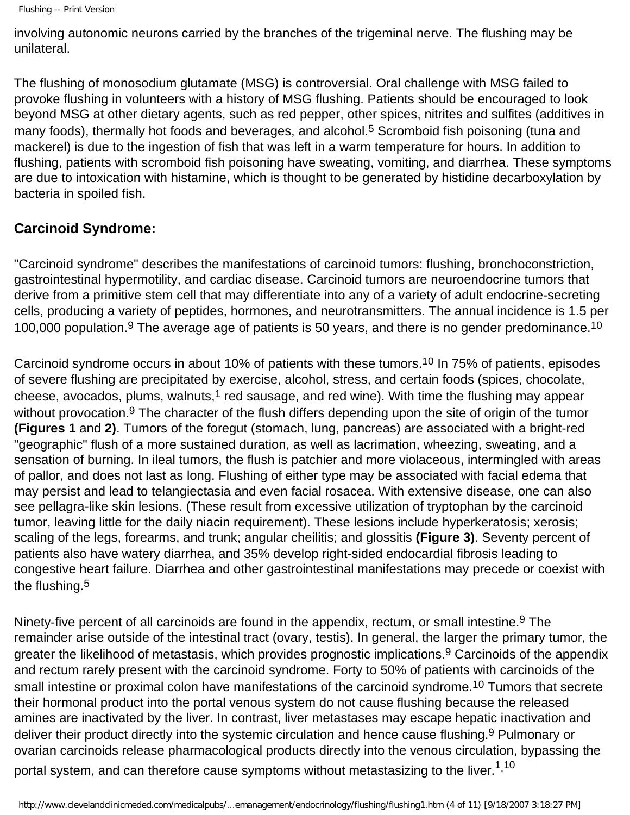involving autonomic neurons carried by the branches of the trigeminal nerve. The flushing may be unilateral.

The flushing of monosodium glutamate (MSG) is controversial. Oral challenge with MSG failed to provoke flushing in volunteers with a history of MSG flushing. Patients should be encouraged to look beyond MSG at other dietary agents, such as red pepper, other spices, nitrites and sulfites (additives in many foods), thermally hot foods and beverages, and alcohol.<sup>5</sup> Scromboid fish poisoning (tuna and mackerel) is due to the ingestion of fish that was left in a warm temperature for hours. In addition to flushing, patients with scromboid fish poisoning have sweating, vomiting, and diarrhea. These symptoms are due to intoxication with histamine, which is thought to be generated by histidine decarboxylation by bacteria in spoiled fish.

#### **Carcinoid Syndrome:**

"Carcinoid syndrome" describes the manifestations of carcinoid tumors: flushing, bronchoconstriction, gastrointestinal hypermotility, and cardiac disease. Carcinoid tumors are neuroendocrine tumors that derive from a primitive stem cell that may differentiate into any of a variety of adult endocrine-secreting cells, producing a variety of peptides, hormones, and neurotransmitters. The annual incidence is 1.5 per 100.000 population.<sup>9</sup> The average age of patients is 50 years, and there is no gender predominance.<sup>10</sup>

Carcinoid syndrome occurs in about 10% of patients with these tumors.<sup>10</sup> In 75% of patients, episodes of severe flushing are precipitated by exercise, alcohol, stress, and certain foods (spices, chocolate, cheese, avocados, plums, walnuts,<sup>1</sup> red sausage, and red wine). With time the flushing may appear without provocation.<sup>9</sup> The character of the flush differs depending upon the site of origin of the tumor **(Figures 1** and **2)**. Tumors of the foregut (stomach, lung, pancreas) are associated with a bright-red "geographic" flush of a more sustained duration, as well as lacrimation, wheezing, sweating, and a sensation of burning. In ileal tumors, the flush is patchier and more violaceous, intermingled with areas of pallor, and does not last as long. Flushing of either type may be associated with facial edema that may persist and lead to telangiectasia and even facial rosacea. With extensive disease, one can also see pellagra-like skin lesions. (These result from excessive utilization of tryptophan by the carcinoid tumor, leaving little for the daily niacin requirement). These lesions include hyperkeratosis; xerosis; scaling of the legs, forearms, and trunk; angular cheilitis; and glossitis **(Figure 3)**. Seventy percent of patients also have watery diarrhea, and 35% develop right-sided endocardial fibrosis leading to congestive heart failure. Diarrhea and other gastrointestinal manifestations may precede or coexist with the flushing.5

Ninety-five percent of all carcinoids are found in the appendix, rectum, or small intestine.<sup>9</sup> The remainder arise outside of the intestinal tract (ovary, testis). In general, the larger the primary tumor, the greater the likelihood of metastasis, which provides prognostic implications.9 Carcinoids of the appendix and rectum rarely present with the carcinoid syndrome. Forty to 50% of patients with carcinoids of the small intestine or proximal colon have manifestations of the carcinoid syndrome.<sup>10</sup> Tumors that secrete their hormonal product into the portal venous system do not cause flushing because the released amines are inactivated by the liver. In contrast, liver metastases may escape hepatic inactivation and deliver their product directly into the systemic circulation and hence cause flushing.9 Pulmonary or ovarian carcinoids release pharmacological products directly into the venous circulation, bypassing the portal system, and can therefore cause symptoms without metastasizing to the liver. $^{\rm 1,10}$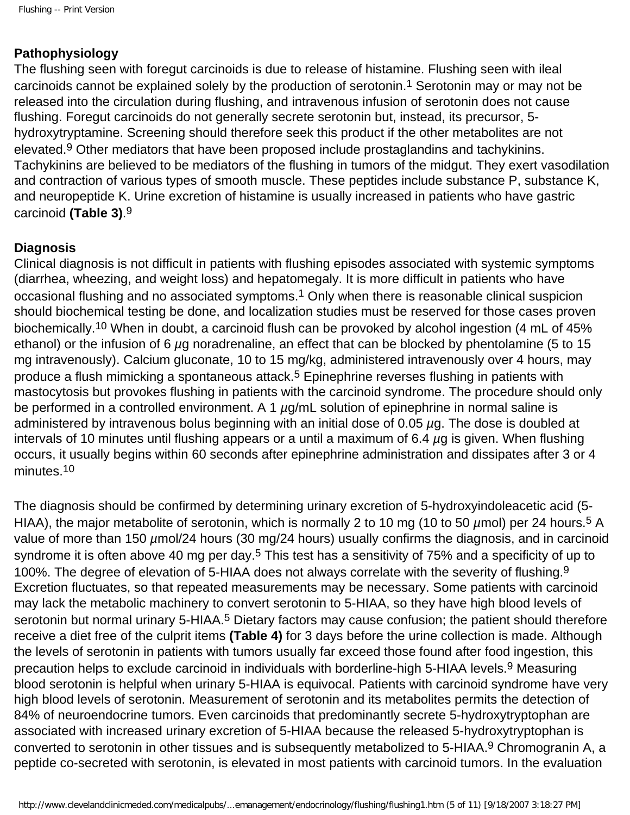#### **Pathophysiology**

The flushing seen with foregut carcinoids is due to release of histamine. Flushing seen with ileal carcinoids cannot be explained solely by the production of serotonin.1 Serotonin may or may not be released into the circulation during flushing, and intravenous infusion of serotonin does not cause flushing. Foregut carcinoids do not generally secrete serotonin but, instead, its precursor, 5 hydroxytryptamine. Screening should therefore seek this product if the other metabolites are not elevated.<sup>9</sup> Other mediators that have been proposed include prostaglandins and tachykinins. Tachykinins are believed to be mediators of the flushing in tumors of the midgut. They exert vasodilation and contraction of various types of smooth muscle. These peptides include substance P, substance K, and neuropeptide K. Urine excretion of histamine is usually increased in patients who have gastric carcinoid **(Table 3)**.9

#### **Diagnosis**

Clinical diagnosis is not difficult in patients with flushing episodes associated with systemic symptoms (diarrhea, wheezing, and weight loss) and hepatomegaly. It is more difficult in patients who have occasional flushing and no associated symptoms.<sup>1</sup> Only when there is reasonable clinical suspicion should biochemical testing be done, and localization studies must be reserved for those cases proven biochemically.<sup>10</sup> When in doubt, a carcinoid flush can be provoked by alcohol ingestion (4 mL of 45% ethanol) or the infusion of 6 *µ*g noradrenaline, an effect that can be blocked by phentolamine (5 to 15 mg intravenously). Calcium gluconate, 10 to 15 mg/kg, administered intravenously over 4 hours, may produce a flush mimicking a spontaneous attack.<sup>5</sup> Epinephrine reverses flushing in patients with mastocytosis but provokes flushing in patients with the carcinoid syndrome. The procedure should only be performed in a controlled environment. A 1 *µ*g/mL solution of epinephrine in normal saline is administered by intravenous bolus beginning with an initial dose of 0.05 *µ*g. The dose is doubled at intervals of 10 minutes until flushing appears or a until a maximum of 6.4 *µ*g is given. When flushing occurs, it usually begins within 60 seconds after epinephrine administration and dissipates after 3 or 4 minutes.10

The diagnosis should be confirmed by determining urinary excretion of 5-hydroxyindoleacetic acid (5- HIAA), the major metabolite of serotonin, which is normally 2 to 10 mg (10 to 50 µmol) per 24 hours.<sup>5</sup> A value of more than 150 *µ*mol/24 hours (30 mg/24 hours) usually confirms the diagnosis, and in carcinoid syndrome it is often above 40 mg per day.<sup>5</sup> This test has a sensitivity of 75% and a specificity of up to 100%. The degree of elevation of 5-HIAA does not always correlate with the severity of flushing.9 Excretion fluctuates, so that repeated measurements may be necessary. Some patients with carcinoid may lack the metabolic machinery to convert serotonin to 5-HIAA, so they have high blood levels of serotonin but normal urinary 5-HIAA.<sup>5</sup> Dietary factors may cause confusion; the patient should therefore receive a diet free of the culprit items **(Table 4)** for 3 days before the urine collection is made. Although the levels of serotonin in patients with tumors usually far exceed those found after food ingestion, this precaution helps to exclude carcinoid in individuals with borderline-high 5-HIAA levels.9 Measuring blood serotonin is helpful when urinary 5-HIAA is equivocal. Patients with carcinoid syndrome have very high blood levels of serotonin. Measurement of serotonin and its metabolites permits the detection of 84% of neuroendocrine tumors. Even carcinoids that predominantly secrete 5-hydroxytryptophan are associated with increased urinary excretion of 5-HIAA because the released 5-hydroxytryptophan is converted to serotonin in other tissues and is subsequently metabolized to 5-HIAA.9 Chromogranin A, a peptide co-secreted with serotonin, is elevated in most patients with carcinoid tumors. In the evaluation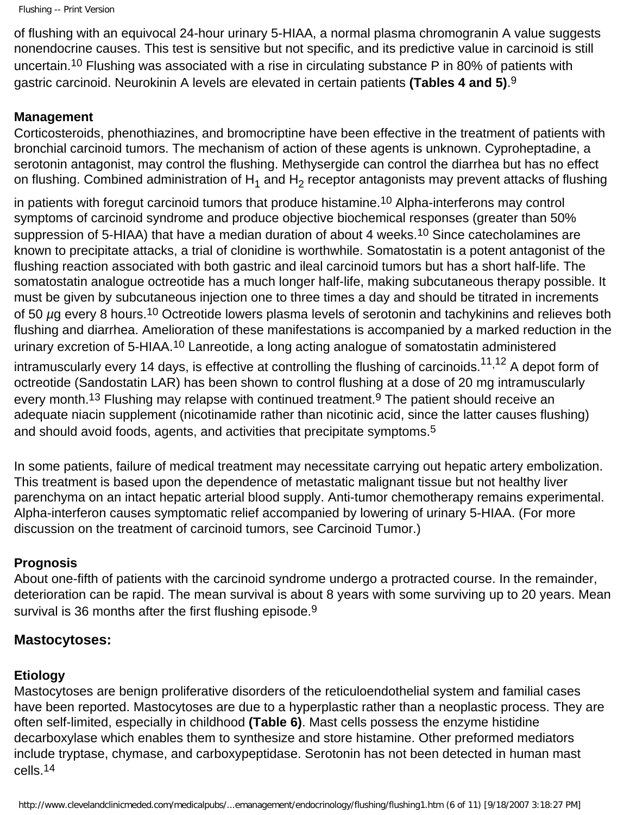```
Flushing -- Print Version
```
of flushing with an equivocal 24-hour urinary 5-HIAA, a normal plasma chromogranin A value suggests nonendocrine causes. This test is sensitive but not specific, and its predictive value in carcinoid is still uncertain.10 Flushing was associated with a rise in circulating substance P in 80% of patients with gastric carcinoid. Neurokinin A levels are elevated in certain patients **(Tables 4 and 5)**.9

# **Management**

Corticosteroids, phenothiazines, and bromocriptine have been effective in the treatment of patients with bronchial carcinoid tumors. The mechanism of action of these agents is unknown. Cyproheptadine, a serotonin antagonist, may control the flushing. Methysergide can control the diarrhea but has no effect on flushing. Combined administration of  $H_1$  and  $H_2$  receptor antagonists may prevent attacks of flushing

in patients with foregut carcinoid tumors that produce histamine.<sup>10</sup> Alpha-interferons may control symptoms of carcinoid syndrome and produce objective biochemical responses (greater than 50% suppression of 5-HIAA) that have a median duration of about 4 weeks.<sup>10</sup> Since catecholamines are known to precipitate attacks, a trial of clonidine is worthwhile. Somatostatin is a potent antagonist of the flushing reaction associated with both gastric and ileal carcinoid tumors but has a short half-life. The somatostatin analogue octreotide has a much longer half-life, making subcutaneous therapy possible. It must be given by subcutaneous injection one to three times a day and should be titrated in increments of 50 *µ*g every 8 hours.10 Octreotide lowers plasma levels of serotonin and tachykinins and relieves both flushing and diarrhea. Amelioration of these manifestations is accompanied by a marked reduction in the urinary excretion of 5-HIAA.<sup>10</sup> Lanreotide, a long acting analogue of somatostatin administered intramuscularly every 14 days, is effective at controlling the flushing of carcinoids.<sup>11,12</sup> A depot form of octreotide (Sandostatin LAR) has been shown to control flushing at a dose of 20 mg intramuscularly every month.<sup>13</sup> Flushing may relapse with continued treatment.<sup>9</sup> The patient should receive an adequate niacin supplement (nicotinamide rather than nicotinic acid, since the latter causes flushing) and should avoid foods, agents, and activities that precipitate symptoms.<sup>5</sup>

In some patients, failure of medical treatment may necessitate carrying out hepatic artery embolization. This treatment is based upon the dependence of metastatic malignant tissue but not healthy liver parenchyma on an intact hepatic arterial blood supply. Anti-tumor chemotherapy remains experimental. Alpha-interferon causes symptomatic relief accompanied by lowering of urinary 5-HIAA. (For more discussion on the treatment of carcinoid tumors, see Carcinoid Tumor.)

## **Prognosis**

About one-fifth of patients with the carcinoid syndrome undergo a protracted course. In the remainder, deterioration can be rapid. The mean survival is about 8 years with some surviving up to 20 years. Mean survival is 36 months after the first flushing episode.<sup>9</sup>

## **Mastocytoses:**

## **Etiology**

Mastocytoses are benign proliferative disorders of the reticuloendothelial system and familial cases have been reported. Mastocytoses are due to a hyperplastic rather than a neoplastic process. They are often self-limited, especially in childhood **(Table 6)**. Mast cells possess the enzyme histidine decarboxylase which enables them to synthesize and store histamine. Other preformed mediators include tryptase, chymase, and carboxypeptidase. Serotonin has not been detected in human mast cells.14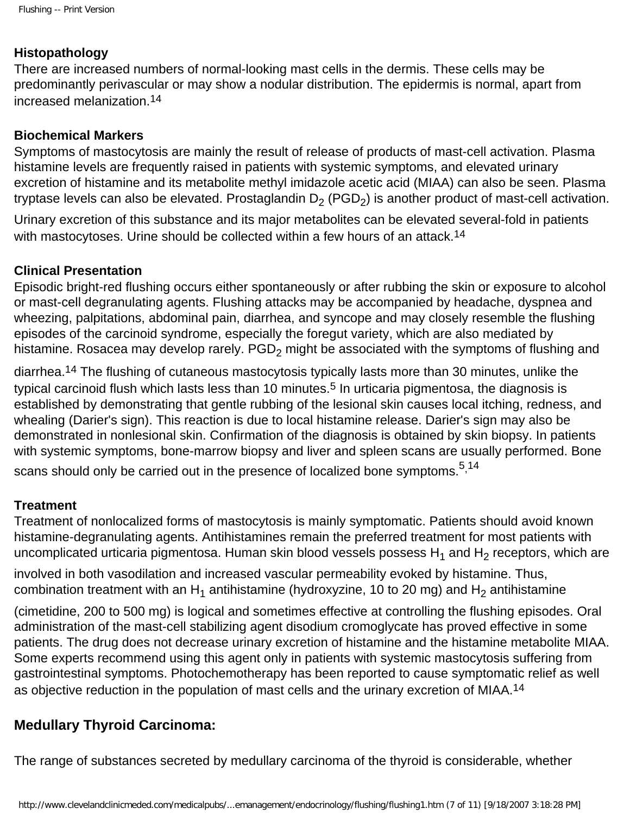#### **Histopathology**

There are increased numbers of normal-looking mast cells in the dermis. These cells may be predominantly perivascular or may show a nodular distribution. The epidermis is normal, apart from increased melanization.14

#### **Biochemical Markers**

Symptoms of mastocytosis are mainly the result of release of products of mast-cell activation. Plasma histamine levels are frequently raised in patients with systemic symptoms, and elevated urinary excretion of histamine and its metabolite methyl imidazole acetic acid (MIAA) can also be seen. Plasma tryptase levels can also be elevated. Prostaglandin  $D_2$  (PGD<sub>2</sub>) is another product of mast-cell activation.

Urinary excretion of this substance and its major metabolites can be elevated several-fold in patients with mastocytoses. Urine should be collected within a few hours of an attack.<sup>14</sup>

#### **Clinical Presentation**

Episodic bright-red flushing occurs either spontaneously or after rubbing the skin or exposure to alcohol or mast-cell degranulating agents. Flushing attacks may be accompanied by headache, dyspnea and wheezing, palpitations, abdominal pain, diarrhea, and syncope and may closely resemble the flushing episodes of the carcinoid syndrome, especially the foregut variety, which are also mediated by histamine. Rosacea may develop rarely.  $PGD<sub>2</sub>$  might be associated with the symptoms of flushing and

diarrhea.14 The flushing of cutaneous mastocytosis typically lasts more than 30 minutes, unlike the typical carcinoid flush which lasts less than 10 minutes.<sup>5</sup> In urticaria pigmentosa, the diagnosis is established by demonstrating that gentle rubbing of the lesional skin causes local itching, redness, and whealing (Darier's sign). This reaction is due to local histamine release. Darier's sign may also be demonstrated in nonlesional skin. Confirmation of the diagnosis is obtained by skin biopsy. In patients with systemic symptoms, bone-marrow biopsy and liver and spleen scans are usually performed. Bone scans should only be carried out in the presence of localized bone symptoms.  $5,14$ 

#### **Treatment**

Treatment of nonlocalized forms of mastocytosis is mainly symptomatic. Patients should avoid known histamine-degranulating agents. Antihistamines remain the preferred treatment for most patients with uncomplicated urticaria pigmentosa. Human skin blood vessels possess  $H_1$  and  $H_2$  receptors, which are

involved in both vasodilation and increased vascular permeability evoked by histamine. Thus, combination treatment with an  $H_1$  antihistamine (hydroxyzine, 10 to 20 mg) and  $H_2$  antihistamine

(cimetidine, 200 to 500 mg) is logical and sometimes effective at controlling the flushing episodes. Oral administration of the mast-cell stabilizing agent disodium cromoglycate has proved effective in some patients. The drug does not decrease urinary excretion of histamine and the histamine metabolite MIAA. Some experts recommend using this agent only in patients with systemic mastocytosis suffering from gastrointestinal symptoms. Photochemotherapy has been reported to cause symptomatic relief as well as objective reduction in the population of mast cells and the urinary excretion of MIAA.14

#### **Medullary Thyroid Carcinoma:**

The range of substances secreted by medullary carcinoma of the thyroid is considerable, whether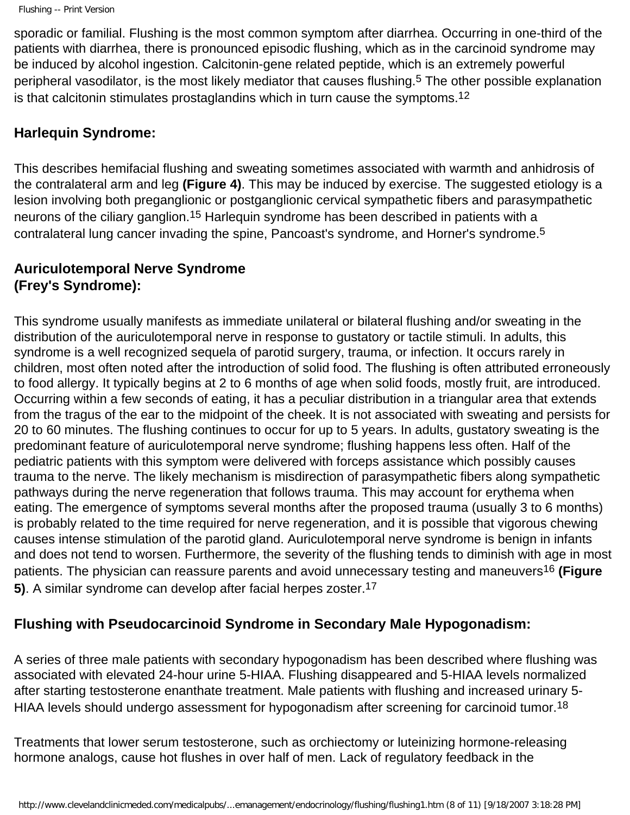sporadic or familial. Flushing is the most common symptom after diarrhea. Occurring in one-third of the patients with diarrhea, there is pronounced episodic flushing, which as in the carcinoid syndrome may be induced by alcohol ingestion. Calcitonin-gene related peptide, which is an extremely powerful peripheral vasodilator, is the most likely mediator that causes flushing.5 The other possible explanation is that calcitonin stimulates prostaglandins which in turn cause the symptoms.12

#### **Harlequin Syndrome:**

This describes hemifacial flushing and sweating sometimes associated with warmth and anhidrosis of the contralateral arm and leg **(Figure 4)**. This may be induced by exercise. The suggested etiology is a lesion involving both preganglionic or postganglionic cervical sympathetic fibers and parasympathetic neurons of the ciliary ganglion.<sup>15</sup> Harleguin syndrome has been described in patients with a contralateral lung cancer invading the spine, Pancoast's syndrome, and Horner's syndrome.5

## **Auriculotemporal Nerve Syndrome (Frey's Syndrome):**

This syndrome usually manifests as immediate unilateral or bilateral flushing and/or sweating in the distribution of the auriculotemporal nerve in response to gustatory or tactile stimuli. In adults, this syndrome is a well recognized sequela of parotid surgery, trauma, or infection. It occurs rarely in children, most often noted after the introduction of solid food. The flushing is often attributed erroneously to food allergy. It typically begins at 2 to 6 months of age when solid foods, mostly fruit, are introduced. Occurring within a few seconds of eating, it has a peculiar distribution in a triangular area that extends from the tragus of the ear to the midpoint of the cheek. It is not associated with sweating and persists for 20 to 60 minutes. The flushing continues to occur for up to 5 years. In adults, gustatory sweating is the predominant feature of auriculotemporal nerve syndrome; flushing happens less often. Half of the pediatric patients with this symptom were delivered with forceps assistance which possibly causes trauma to the nerve. The likely mechanism is misdirection of parasympathetic fibers along sympathetic pathways during the nerve regeneration that follows trauma. This may account for erythema when eating. The emergence of symptoms several months after the proposed trauma (usually 3 to 6 months) is probably related to the time required for nerve regeneration, and it is possible that vigorous chewing causes intense stimulation of the parotid gland. Auriculotemporal nerve syndrome is benign in infants and does not tend to worsen. Furthermore, the severity of the flushing tends to diminish with age in most patients. The physician can reassure parents and avoid unnecessary testing and maneuvers16 **(Figure 5)**. A similar syndrome can develop after facial herpes zoster.17

# **Flushing with Pseudocarcinoid Syndrome in Secondary Male Hypogonadism:**

A series of three male patients with secondary hypogonadism has been described where flushing was associated with elevated 24-hour urine 5-HIAA. Flushing disappeared and 5-HIAA levels normalized after starting testosterone enanthate treatment. Male patients with flushing and increased urinary 5- HIAA levels should undergo assessment for hypogonadism after screening for carcinoid tumor.<sup>18</sup>

Treatments that lower serum testosterone, such as orchiectomy or luteinizing hormone-releasing hormone analogs, cause hot flushes in over half of men. Lack of regulatory feedback in the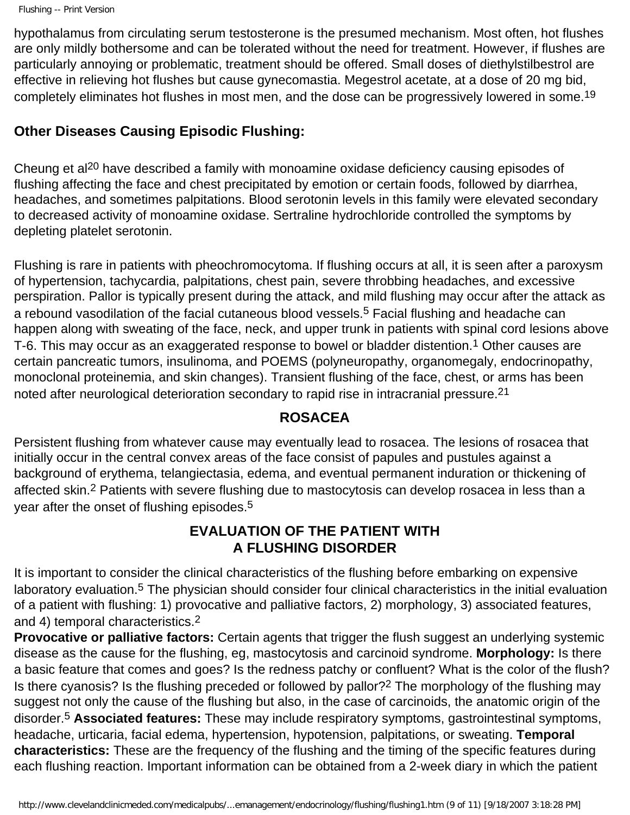hypothalamus from circulating serum testosterone is the presumed mechanism. Most often, hot flushes are only mildly bothersome and can be tolerated without the need for treatment. However, if flushes are particularly annoying or problematic, treatment should be offered. Small doses of diethylstilbestrol are effective in relieving hot flushes but cause gynecomastia. Megestrol acetate, at a dose of 20 mg bid, completely eliminates hot flushes in most men, and the dose can be progressively lowered in some.<sup>19</sup>

#### **Other Diseases Causing Episodic Flushing:**

Cheung et al<sup>20</sup> have described a family with monoamine oxidase deficiency causing episodes of flushing affecting the face and chest precipitated by emotion or certain foods, followed by diarrhea, headaches, and sometimes palpitations. Blood serotonin levels in this family were elevated secondary to decreased activity of monoamine oxidase. Sertraline hydrochloride controlled the symptoms by depleting platelet serotonin.

Flushing is rare in patients with pheochromocytoma. If flushing occurs at all, it is seen after a paroxysm of hypertension, tachycardia, palpitations, chest pain, severe throbbing headaches, and excessive perspiration. Pallor is typically present during the attack, and mild flushing may occur after the attack as a rebound vasodilation of the facial cutaneous blood vessels.<sup>5</sup> Facial flushing and headache can happen along with sweating of the face, neck, and upper trunk in patients with spinal cord lesions above T-6. This may occur as an exaggerated response to bowel or bladder distention.<sup>1</sup> Other causes are certain pancreatic tumors, insulinoma, and POEMS (polyneuropathy, organomegaly, endocrinopathy, monoclonal proteinemia, and skin changes). Transient flushing of the face, chest, or arms has been noted after neurological deterioration secondary to rapid rise in intracranial pressure.21

## **ROSACEA**

Persistent flushing from whatever cause may eventually lead to rosacea. The lesions of rosacea that initially occur in the central convex areas of the face consist of papules and pustules against a background of erythema, telangiectasia, edema, and eventual permanent induration or thickening of affected skin.<sup>2</sup> Patients with severe flushing due to mastocytosis can develop rosacea in less than a year after the onset of flushing episodes.5

## **EVALUATION OF THE PATIENT WITH A FLUSHING DISORDER**

It is important to consider the clinical characteristics of the flushing before embarking on expensive laboratory evaluation.5 The physician should consider four clinical characteristics in the initial evaluation of a patient with flushing: 1) provocative and palliative factors, 2) morphology, 3) associated features, and 4) temporal characteristics.2

**Provocative or palliative factors:** Certain agents that trigger the flush suggest an underlying systemic disease as the cause for the flushing, eg, mastocytosis and carcinoid syndrome. **Morphology:** Is there a basic feature that comes and goes? Is the redness patchy or confluent? What is the color of the flush? Is there cyanosis? Is the flushing preceded or followed by pallor?2 The morphology of the flushing may suggest not only the cause of the flushing but also, in the case of carcinoids, the anatomic origin of the disorder.5 **Associated features:** These may include respiratory symptoms, gastrointestinal symptoms, headache, urticaria, facial edema, hypertension, hypotension, palpitations, or sweating. **Temporal characteristics:** These are the frequency of the flushing and the timing of the specific features during each flushing reaction. Important information can be obtained from a 2-week diary in which the patient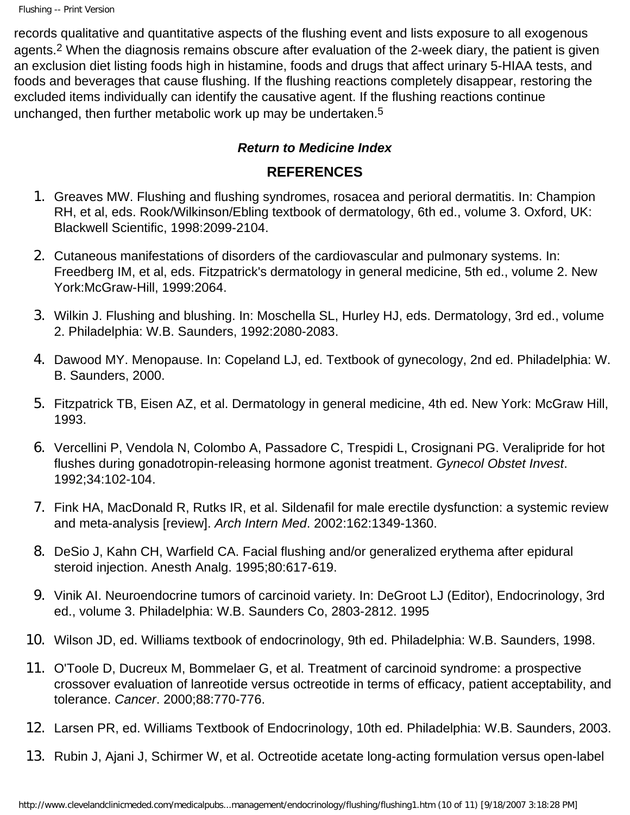```
Flushing -- Print Version
```
records qualitative and quantitative aspects of the flushing event and lists exposure to all exogenous agents.2 When the diagnosis remains obscure after evaluation of the 2-week diary, the patient is given an exclusion diet listing foods high in histamine, foods and drugs that affect urinary 5-HIAA tests, and foods and beverages that cause flushing. If the flushing reactions completely disappear, restoring the excluded items individually can identify the causative agent. If the flushing reactions continue unchanged, then further metabolic work up may be undertaken.<sup>5</sup>

# *Return to Medicine Index*

# **REFERENCES**

- 1. Greaves MW. Flushing and flushing syndromes, rosacea and perioral dermatitis. In: Champion RH, et al, eds. Rook/Wilkinson/Ebling textbook of dermatology, 6th ed., volume 3. Oxford, UK: Blackwell Scientific, 1998:2099-2104.
- 2. Cutaneous manifestations of disorders of the cardiovascular and pulmonary systems. In: Freedberg IM, et al, eds. Fitzpatrick's dermatology in general medicine, 5th ed., volume 2. New York:McGraw-Hill, 1999:2064.
- 3. Wilkin J. Flushing and blushing. In: Moschella SL, Hurley HJ, eds. Dermatology, 3rd ed., volume 2. Philadelphia: W.B. Saunders, 1992:2080-2083.
- 4. Dawood MY. Menopause. In: Copeland LJ, ed. Textbook of gynecology, 2nd ed. Philadelphia: W. B. Saunders, 2000.
- 5. Fitzpatrick TB, Eisen AZ, et al. Dermatology in general medicine, 4th ed. New York: McGraw Hill, 1993.
- 6. Vercellini P, Vendola N, Colombo A, Passadore C, Trespidi L, Crosignani PG. Veralipride for hot flushes during gonadotropin-releasing hormone agonist treatment. *Gynecol Obstet Invest*. 1992;34:102-104.
- 7. Fink HA, MacDonald R, Rutks IR, et al. Sildenafil for male erectile dysfunction: a systemic review and meta-analysis [review]. *Arch Intern Med*. 2002:162:1349-1360.
- 8. DeSio J, Kahn CH, Warfield CA. Facial flushing and/or generalized erythema after epidural steroid injection. Anesth Analg. 1995;80:617-619.
- 9. Vinik AI. Neuroendocrine tumors of carcinoid variety. In: DeGroot LJ (Editor), Endocrinology, 3rd ed., volume 3. Philadelphia: W.B. Saunders Co, 2803-2812. 1995
- 10. Wilson JD, ed. Williams textbook of endocrinology, 9th ed. Philadelphia: W.B. Saunders, 1998.
- 11. O'Toole D, Ducreux M, Bommelaer G, et al. Treatment of carcinoid syndrome: a prospective crossover evaluation of lanreotide versus octreotide in terms of efficacy, patient acceptability, and tolerance. *Cancer*. 2000;88:770-776.
- 12. Larsen PR, ed. Williams Textbook of Endocrinology, 10th ed. Philadelphia: W.B. Saunders, 2003.
- 13. Rubin J, Ajani J, Schirmer W, et al. Octreotide acetate long-acting formulation versus open-label